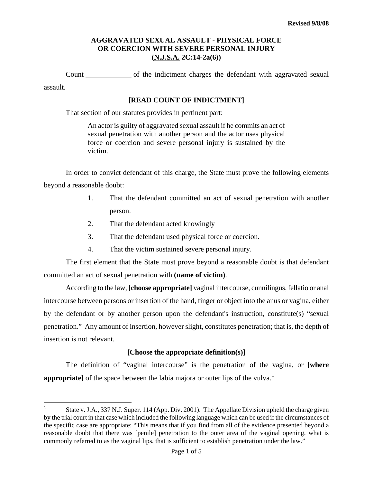Count of the indictment charges the defendant with aggravated sexual assault.

### **[READ COUNT OF INDICTMENT]**

That section of our statutes provides in pertinent part:

An actor is guilty of aggravated sexual assault if he commits an act of sexual penetration with another person and the actor uses physical force or coercion and severe personal injury is sustained by the victim.

In order to convict defendant of this charge, the State must prove the following elements beyond a reasonable doubt:

- 1. That the defendant committed an act of sexual penetration with another person.
- 2. That the defendant acted knowingly

i

- 3. That the defendant used physical force or coercion.
- 4. That the victim sustained severe personal injury.

The first element that the State must prove beyond a reasonable doubt is that defendant committed an act of sexual penetration with **(name of victim)**.

According to the law, **[choose appropriate]** vaginal intercourse, cunnilingus, fellatio or anal intercourse between persons or insertion of the hand, finger or object into the anus or vagina, either by the defendant or by another person upon the defendant's instruction, constitute(s) "sexual penetration." Any amount of insertion, however slight, constitutes penetration; that is, the depth of insertion is not relevant.

# **[Choose the appropriate definition(s)]**

The definition of "vaginal intercourse" is the penetration of the vagina, or **[where appropriate** of the space between the labia majora or outer lips of the vulva.<sup>[1](#page-0-0)</sup>

<span id="page-0-0"></span><sup>1</sup> State v. J.A., 337 N.J. Super. 114 (App. Div. 2001). The Appellate Division upheld the charge given by the trial court in that case which included the following language which can be used if the circumstances of the specific case are appropriate: "This means that if you find from all of the evidence presented beyond a reasonable doubt that there was [penile] penetration to the outer area of the vaginal opening, what is commonly referred to as the vaginal lips, that is sufficient to establish penetration under the law."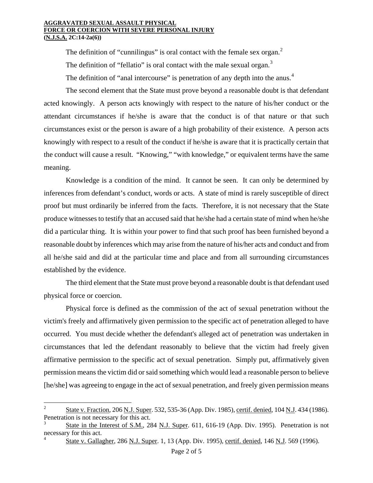The definition of "cunnilingus" is oral contact with the female sex organ. $<sup>2</sup>$  $<sup>2</sup>$  $<sup>2</sup>$ </sup>

The definition of "fellatio" is oral contact with the male sexual organ. $3$ 

The definition of "anal intercourse" is penetration of any depth into the anus.<sup>[4](#page-1-1)</sup>

The second element that the State must prove beyond a reasonable doubt is that defendant acted knowingly. A person acts knowingly with respect to the nature of his/her conduct or the attendant circumstances if he/she is aware that the conduct is of that nature or that such circumstances exist or the person is aware of a high probability of their existence. A person acts knowingly with respect to a result of the conduct if he/she is aware that it is practically certain that the conduct will cause a result. "Knowing," "with knowledge," or equivalent terms have the same meaning.

Knowledge is a condition of the mind. It cannot be seen. It can only be determined by inferences from defendant's conduct, words or acts. A state of mind is rarely susceptible of direct proof but must ordinarily be inferred from the facts. Therefore, it is not necessary that the State produce witnesses to testify that an accused said that he/she had a certain state of mind when he/she did a particular thing. It is within your power to find that such proof has been furnished beyond a reasonable doubt by inferences which may arise from the nature of his/her acts and conduct and from all he/she said and did at the particular time and place and from all surrounding circumstances established by the evidence.

The third element that the State must prove beyond a reasonable doubt is that defendant used physical force or coercion.

Physical force is defined as the commission of the act of sexual penetration without the victim's freely and affirmatively given permission to the specific act of penetration alleged to have occurred. You must decide whether the defendant's alleged act of penetration was undertaken in circumstances that led the defendant reasonably to believe that the victim had freely given affirmative permission to the specific act of sexual penetration. Simply put, affirmatively given permission means the victim did or said something which would lead a reasonable person to believe [he/she] was agreeing to engage in the act of sexual penetration, and freely given permission means

 $\frac{1}{2}$  State v. Fraction, 206 N.J. Super. 532, 535-36 (App. Div. 1985), certif. denied, 104 N.J. 434 (1986). Penetration is not necessary for this act.

<span id="page-1-2"></span><span id="page-1-1"></span><span id="page-1-0"></span><sup>3</sup> State in the Interest of S.M., 284 N.J. Super. 611, 616-19 (App. Div. 1995). Penetration is not necessary for this act. 4

State v. Gallagher, 286 N.J. Super. 1, 13 (App. Div. 1995), certif. denied, 146 N.J. 569 (1996).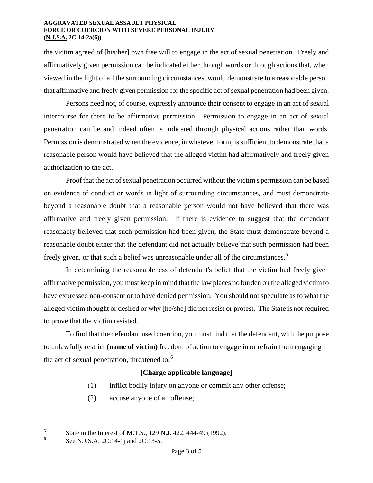the victim agreed of [his/her] own free will to engage in the act of sexual penetration. Freely and affirmatively given permission can be indicated either through words or through actions that, when viewed in the light of all the surrounding circumstances, would demonstrate to a reasonable person that affirmative and freely given permission for the specific act of sexual penetration had been given.

Persons need not, of course, expressly announce their consent to engage in an act of sexual intercourse for there to be affirmative permission. Permission to engage in an act of sexual penetration can be and indeed often is indicated through physical actions rather than words. Permission is demonstrated when the evidence, in whatever form, is sufficient to demonstrate that a reasonable person would have believed that the alleged victim had affirmatively and freely given authorization to the act.

Proof that the act of sexual penetration occurred without the victim's permission can be based on evidence of conduct or words in light of surrounding circumstances, and must demonstrate beyond a reasonable doubt that a reasonable person would not have believed that there was affirmative and freely given permission. If there is evidence to suggest that the defendant reasonably believed that such permission had been given, the State must demonstrate beyond a reasonable doubt either that the defendant did not actually believe that such permission had been freely given, or that such a belief was unreasonable under all of the circumstances.<sup>[5](#page-1-2)</sup>

In determining the reasonableness of defendant's belief that the victim had freely given affirmative permission, you must keep in mind that the law places no burden on the alleged victim to have expressed non-consent or to have denied permission. You should not speculate as to what the alleged victim thought or desired or why [he/she] did not resist or protest. The State is not required to prove that the victim resisted.

To find that the defendant used coercion, you must find that the defendant, with the purpose to unlawfully restrict **(name of victim)** freedom of action to engage in or refrain from engaging in the act of sexual penetration, threatened to:<sup>[6](#page-2-0)</sup>

# **[Charge applicable language]**

- (1) inflict bodily injury on anyone or commit any other offense;
- (2) accuse anyone of an offense;

<span id="page-2-1"></span><sup>5</sup> <sup>5</sup> State in the Interest of M.T.S., 129 N.J. 422, 444-49 (1992).

<span id="page-2-0"></span><sup>6</sup> See N.J.S.A. 2C:14-1*j* and 2C:13-5.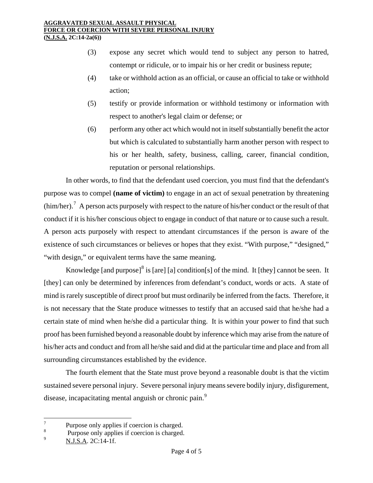- (3) expose any secret which would tend to subject any person to hatred, contempt or ridicule, or to impair his or her credit or business repute;
- (4) take or withhold action as an official, or cause an official to take or withhold action;
- (5) testify or provide information or withhold testimony or information with respect to another's legal claim or defense; or
- (6) perform any other act which would not in itself substantially benefit the actor but which is calculated to substantially harm another person with respect to his or her health, safety, business, calling, career, financial condition, reputation or personal relationships.

In other words, to find that the defendant used coercion, you must find that the defendant's purpose was to compel **(name of victim)** to engage in an act of sexual penetration by threatening  $(him/her).$ <sup>[7](#page-2-1)</sup> A person acts purposely with respect to the nature of his/her conduct or the result of that conduct if it is his/her conscious object to engage in conduct of that nature or to cause such a result. A person acts purposely with respect to attendant circumstances if the person is aware of the existence of such circumstances or believes or hopes that they exist. "With purpose," "designed," "with design," or equivalent terms have the same meaning.

Knowledge [and purpose]<sup>[8](#page-3-0)</sup> is [are] [a] condition[s] of the mind. It [they] cannot be seen. It [they] can only be determined by inferences from defendant's conduct, words or acts. A state of mind is rarely susceptible of direct proof but must ordinarily be inferred from the facts. Therefore, it is not necessary that the State produce witnesses to testify that an accused said that he/she had a certain state of mind when he/she did a particular thing. It is within your power to find that such proof has been furnished beyond a reasonable doubt by inference which may arise from the nature of his/her acts and conduct and from all he/she said and did at the particular time and place and from all surrounding circumstances established by the evidence.

The fourth element that the State must prove beyond a reasonable doubt is that the victim sustained severe personal injury. Severe personal injury means severe bodily injury, disfigurement, disease, incapacitating mental anguish or chronic pain.<sup>[9](#page-3-1)</sup>

 7 Purpose only applies if coercion is charged.

<span id="page-3-1"></span><span id="page-3-0"></span><sup>8</sup> <sup>8</sup> Purpose only applies if coercion is charged.

<sup>9</sup> N.J.S.A. 2C:14-1f.